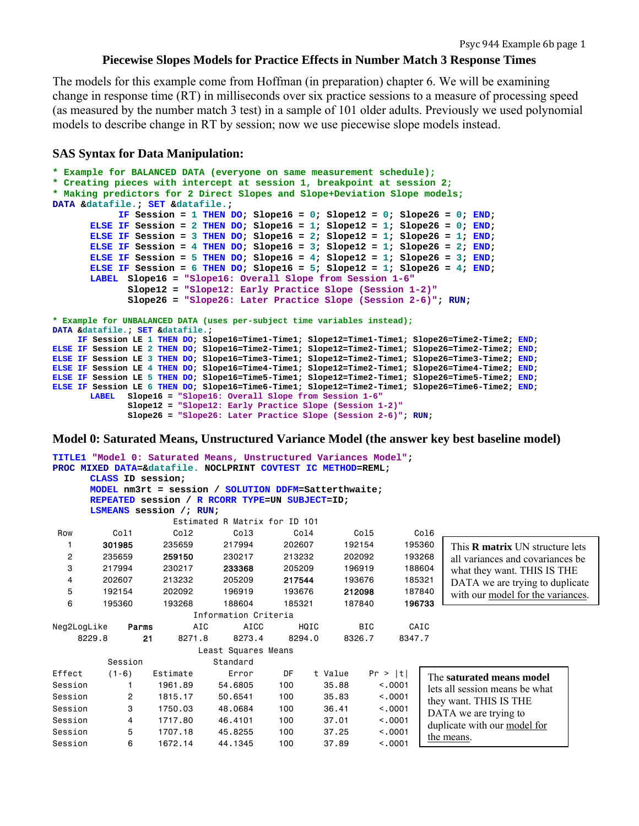# **Piecewise Slopes Models for Practice Effects in Number Match 3 Response Times**

The models for this example come from Hoffman (in preparation) chapter 6. We will be examining change in response time (RT) in milliseconds over six practice sessions to a measure of processing speed (as measured by the number match 3 test) in a sample of 101 older adults. Previously we used polynomial models to describe change in RT by session; now we use piecewise slope models instead.

#### **SAS Syntax for Data Manipulation:**

```
* Example for BALANCED DATA (everyone on same measurement schedule);
* Creating pieces with intercept at session 1, breakpoint at session 2;
* Making predictors for 2 Direct Slopes and Slope+Deviation Slope models;
DATA &datafile.; SET &datafile.; 
             IF Session = 1 THEN DO; Slope16 = 0; Slope12 = 0; Slope26 = 0; END;
       ELSE IF Session = 2 THEN DO; Slope16 = 1; Slope12 = 1; Slope26 = 0; END; 
       ELSE IF Session = 3 THEN DO; Slope16 = 2; Slope12 = 1; Slope26 = 1; END; 
       ELSE IF Session = 4 THEN DO; Slope16 = 3; Slope12 = 1; Slope26 = 2; END; 
       ELSE IF Session = 5 THEN DO; Slope16 = 4; Slope12 = 1; Slope26 = 3; END; 
       ELSE IF Session = 6 THEN DO; Slope16 = 5; Slope12 = 1; Slope26 = 4; END; 
       LABEL Slope16 = "Slope16: Overall Slope from Session 1-6"
               Slope12 = "Slope12: Early Practice Slope (Session 1-2)"
               Slope26 = "Slope26: Later Practice Slope (Session 2-6)"; RUN; 
* Example for UNBALANCED DATA (uses per-subject time variables instead);
DATA &datafile.; SET &datafile.; 
     IF Session LE 1 THEN DO; Slope16=Time1-Time1; Slope12=Time1-Time1; Slope26=Time2-Time2; END; 
ELSE IF Session LE 2 THEN DO; Slope16=Time2-Time1; Slope12=Time2-Time1; Slope26=Time2-Time2; END; 
ELSE IF Session LE 3 THEN DO; Slope16=Time3-Time1; Slope12=Time2-Time1; Slope26=Time3-Time2; END; 
ELSE IF Session LE 4 THEN DO; Slope16=Time4-Time1; Slope12=Time2-Time1; Slope26=Time4-Time2; END; 
ELSE IF Session LE 5 THEN DO; Slope16=Time5-Time1; Slope12=Time2-Time1; Slope26=Time5-Time2; END; 
ELSE IF Session LE 6 THEN DO; Slope16=Time6-Time1; Slope12=Time2-Time1; Slope26=Time6-Time2; END; 
       LABEL Slope16 = "Slope16: Overall Slope from Session 1-6"
               Slope12 = "Slope12: Early Practice Slope (Session 1-2)"
               Slope26 = "Slope26: Later Practice Slope (Session 2-6)"; RUN;
```
**Model 0: Saturated Means, Unstructured Variance Model (the answer key best baseline model)**

|                |                               |       |                         | TITLE1 "Model 0: Saturated Means, Unstructured Variances Model"; |                  |      |         |            |         |        |                                        |
|----------------|-------------------------------|-------|-------------------------|------------------------------------------------------------------|------------------|------|---------|------------|---------|--------|----------------------------------------|
|                |                               |       |                         | PROC MIXED DATA=&datafile. NOCLPRINT COVTEST IC METHOD=REML;     |                  |      |         |            |         |        |                                        |
|                | CLASS ID session;             |       |                         |                                                                  |                  |      |         |            |         |        |                                        |
|                |                               |       |                         | MODEL nm3rt = session / SOLUTION DDFM=Satterthwaite:             |                  |      |         |            |         |        |                                        |
|                |                               |       |                         | REPEATED session / R RCORR TYPE=UN SUBJECT=ID;                   |                  |      |         |            |         |        |                                        |
|                |                               |       | LSMEANS session /; RUN; |                                                                  |                  |      |         |            |         |        |                                        |
|                | Estimated R Matrix for ID 101 |       |                         |                                                                  |                  |      |         |            |         |        |                                        |
| Row            | Col1                          |       | Col <sub>2</sub>        | Col <sub>3</sub>                                                 | Col <sub>4</sub> |      |         | Co15       |         | Col6   |                                        |
| 1              | 301985                        |       | 235659                  | 217994                                                           | 202607           |      |         | 192154     |         | 195360 | This <b>R</b> matrix UN structure lets |
| $\overline{c}$ | 235659                        |       | 259150                  | 230217                                                           | 213232           |      |         | 202092     |         | 193268 | all variances and covariances be       |
| 3              | 217994                        |       | 230217                  | 233368                                                           | 205209           |      |         | 196919     |         | 188604 | what they want. THIS IS THE            |
| 4              | 202607                        |       | 213232                  | 205209                                                           | 217544           |      |         | 193676     | 185321  |        | DATA we are trying to duplicate        |
| 5              | 192154                        |       | 202092                  | 196919                                                           | 193676           |      |         | 212098     |         | 187840 | with our model for the variances.      |
| 6              | 195360                        |       | 193268                  | 188604                                                           | 185321           |      |         | 187840     |         | 196733 |                                        |
|                |                               |       |                         | Information Criteria                                             |                  |      |         |            |         |        |                                        |
| Neg2LogLike    |                               | Parms | AIC                     | AICC                                                             |                  | HQIC |         | <b>BIC</b> |         | CAIC   |                                        |
|                | 8229.8                        | 21    | 8271.8                  | 8273.4                                                           | 8294.0           |      |         | 8326.7     | 8347.7  |        |                                        |
|                |                               |       |                         | Least Squares Means                                              |                  |      |         |            |         |        |                                        |
|                | Session                       |       |                         | Standard                                                         |                  |      |         |            |         |        |                                        |
| Effect         | $(1-6)$                       |       | Estimate                | Error                                                            | DF               |      | t Value |            | Pr >  t |        | The saturated means model              |
| Session        |                               |       | 1961.89                 | 54,6805                                                          | 100              |      | 35.88   |            | < 0.001 |        | lets all session means be what         |
| Session        | 2                             |       | 1815.17                 | 50.6541                                                          | 100              |      | 35.83   |            | < 0.001 |        | they want. THIS IS THE                 |
| Session        | 3                             |       | 1750.03                 | 48,0684                                                          | 100              |      | 36.41   |            | < 0.001 |        | DATA we are trying to                  |
| Session        | 4                             |       | 1717.80                 | 46,4101                                                          | 100              |      | 37.01   |            | < 0.001 |        | duplicate with our model for           |
| Session        | 5                             |       | 1707.18                 | 45,8255                                                          | 100              |      | 37.25   |            | < 0.001 |        | the means.                             |
| Session        | 6                             |       | 1672.14                 | 44.1345                                                          | 100              |      | 37.89   |            | < 0.001 |        |                                        |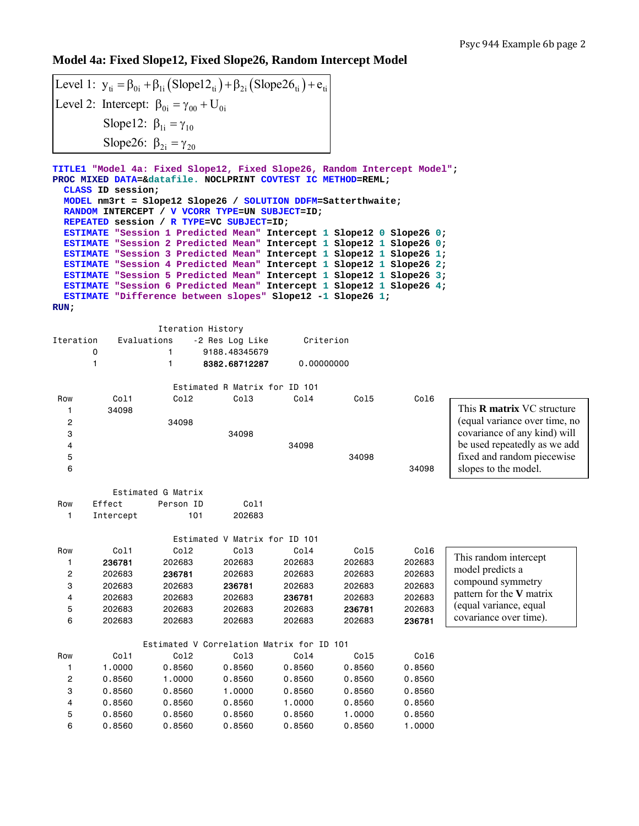slopes to the model.

## **Model 4a: Fixed Slope12, Fixed Slope26, Random Intercept Model**

| Level 1: $y_{ti} = \beta_{0i} + \beta_{1i} (Slope12_{ti}) + \beta_{2i} (Slope26_{ti}) + e_{ti}$ |
|-------------------------------------------------------------------------------------------------|
| Level 2: Intercept: $\beta_{0i} = \gamma_{00} + U_{0i}$                                         |
| Slope12: $\beta_{1i} = \gamma_{10}$                                                             |
| Slope26: $\beta_{2i} = \gamma_{20}$                                                             |

**TITLE1 "Model 4a: Fixed Slope12, Fixed Slope26, Random Intercept Model"; PROC MIXED DATA=&datafile. NOCLPRINT COVTEST IC METHOD=REML; CLASS ID session; MODEL nm3rt = Slope12 Slope26 / SOLUTION DDFM=Satterthwaite; RANDOM INTERCEPT / V VCORR TYPE=UN SUBJECT=ID; REPEATED session / R TYPE=VC SUBJECT=ID; ESTIMATE "Session 1 Predicted Mean" Intercept 1 Slope12 0 Slope26 0; ESTIMATE "Session 2 Predicted Mean" Intercept 1 Slope12 1 Slope26 0; ESTIMATE "Session 3 Predicted Mean" Intercept 1 Slope12 1 Slope26 1; ESTIMATE "Session 4 Predicted Mean" Intercept 1 Slope12 1 Slope26 2; ESTIMATE "Session 5 Predicted Mean" Intercept 1 Slope12 1 Slope26 3; ESTIMATE "Session 6 Predicted Mean" Intercept 1 Slope12 1 Slope26 4; ESTIMATE "Difference between slopes" Slope12 -1 Slope26 1; RUN;** 

|           |             |                  | Iteration History             |            |       |      |                                   |
|-----------|-------------|------------------|-------------------------------|------------|-------|------|-----------------------------------|
| Iteration | Evaluations |                  | -2 Res Log Like               | Criterion  |       |      |                                   |
|           | 0           |                  | 9188.48345679                 |            |       |      |                                   |
|           |             |                  | 8382.68712287                 | 0,00000000 |       |      |                                   |
|           |             |                  | Estimated R Matrix for ID 101 |            |       |      |                                   |
| Row       | Co11        | Col <sub>2</sub> | Col3                          | Col4       | Col5  | Col6 |                                   |
|           | 34098       |                  |                               |            |       |      | This <b>R</b> matrix VC structure |
| 2         |             | 34098            |                               |            |       |      | (equal variance over time, no     |
| 3         |             |                  | 34098                         |            |       |      | covariance of any kind) will      |
| 4         |             |                  |                               | 34098      |       |      | be used repeatedly as we add      |
| 5         |             |                  |                               |            | 34098 |      | fixed and random piecewise        |

|     |           | Estimated G Matrix |                   |
|-----|-----------|--------------------|-------------------|
| Row | Fffect    | Person ID          | C <sub>0</sub> 11 |
|     | Intercept | 101                | 202683            |

5 34098

 $6$  34098

|                |        | Estimated V                               | Matrix for       | ID 101           |        |        |                          |
|----------------|--------|-------------------------------------------|------------------|------------------|--------|--------|--------------------------|
| Row            | Col1   | Col <sub>2</sub>                          | Col <sub>3</sub> | Col <sub>4</sub> | Col5   | Col6   |                          |
|                | 236781 | 202683                                    | 202683           | 202683           | 202683 | 202683 | This random intercept    |
| 2              | 202683 | 236781                                    | 202683           | 202683           | 202683 | 202683 | model predicts a         |
| 3              | 202683 | 202683                                    | 236781           | 202683           | 202683 | 202683 | compound symmetry        |
| 4              | 202683 | 202683                                    | 202683           | 236781           | 202683 | 202683 | pattern for the V matrix |
| 5              | 202683 | 202683                                    | 202683           | 202683           | 236781 | 202683 | (equal variance, equal   |
| 6              | 202683 | 202683                                    | 202683           | 202683           | 202683 | 236781 | covariance over time).   |
|                |        |                                           |                  |                  |        |        |                          |
|                |        | Estimated V Correlation Matrix for ID 101 |                  |                  |        |        |                          |
| Row            | Col1   | Col2                                      | Col <sub>3</sub> | Col4             | Col5   | Col6   |                          |
|                | 1.0000 | 0.8560                                    | 0.8560           | 0.8560           | 0.8560 | 0.8560 |                          |
| $\overline{c}$ | 0.8560 | 1,0000                                    | 0.8560           | 0.8560           | 0.8560 | 0.8560 |                          |
| 3              | 0.8560 | 0.8560                                    | 1.0000           | 0.8560           | 0.8560 | 0.8560 |                          |
| 4              | 0.8560 | 0.8560                                    | 0.8560           | 1,0000           | 0.8560 | 0.8560 |                          |
| 5              | 0.8560 | 0.8560                                    | 0.8560           | 0.8560           | 1,0000 | 0.8560 |                          |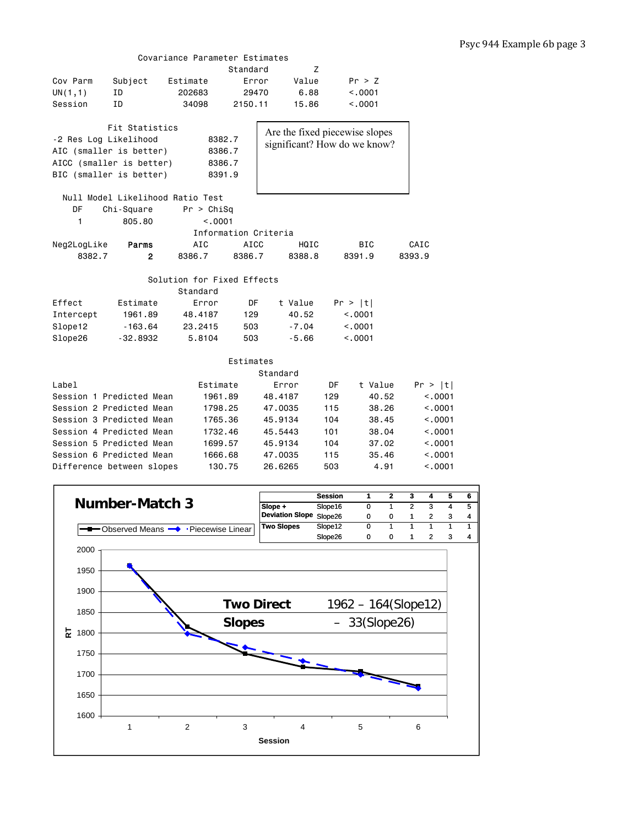#### Covariance Parameter Estimates

|                       |                                  |                            | Standard    | Z        |     |                                |         |
|-----------------------|----------------------------------|----------------------------|-------------|----------|-----|--------------------------------|---------|
| Cov Parm              | Subject                          | Estimate                   | Error       | Value    |     | Pr > Z                         |         |
| UN(1,1)               | ID                               | 202683                     | 29470       | 6.88     |     | < 0.001                        |         |
| Session               | ΙD                               | 34098                      | 2150.11     | 15,86    |     | < .0001                        |         |
|                       |                                  |                            |             |          |     |                                |         |
|                       | Fit Statistics                   |                            |             |          |     | Are the fixed piecewise slopes |         |
| -2 Res Log Likelihood |                                  | 8382.7                     |             |          |     | significant? How do we know?   |         |
|                       | AIC (smaller is better)          | 8386.7                     |             |          |     |                                |         |
|                       | AICC (smaller is better)         | 8386.7                     |             |          |     |                                |         |
|                       | BIC (smaller is better)          | 8391.9                     |             |          |     |                                |         |
|                       |                                  |                            |             |          |     |                                |         |
|                       | Null Model Likelihood Ratio Test |                            |             |          |     |                                |         |
| DF                    | Chi-Square                       | Pr > Chisq                 |             |          |     |                                |         |
| 1                     | 805.80                           | < .0001                    |             |          |     |                                |         |
|                       |                                  | Information Criteria       |             |          |     |                                |         |
| Neg2LogLike           | Parms                            | AIC                        | <b>AICC</b> | HQIC     |     | <b>BIC</b>                     | CAIC    |
| 8382.7                | $\mathbf{2}$                     | 8386.7                     | 8386.7      | 8388.8   |     | 8391.9                         | 8393.9  |
|                       |                                  |                            |             |          |     |                                |         |
|                       |                                  | Solution for Fixed Effects |             |          |     |                                |         |
|                       |                                  | Standard                   |             |          |     |                                |         |
| Effect                | Estimate                         | Error                      | DF          | t Value  |     | Pr >  t                        |         |
| Intercept             | 1961.89                          | 48.4187                    | 129         | 40.52    |     | < 0.001                        |         |
| Slope12               | $-163.64$                        | 23.2415                    | 503         | $-7.04$  |     | < .0001                        |         |
| Slope26               | $-32.8932$                       | 5.8104                     | 503         | $-5.66$  |     | < .0001                        |         |
|                       |                                  |                            |             |          |     |                                |         |
|                       |                                  |                            | Estimates   |          |     |                                |         |
|                       |                                  |                            |             | Standard |     |                                |         |
| Label                 |                                  | Estimate                   |             | Error    | DF  | t Value                        | Pr >  t |
|                       | Session 1 Predicted Mean         | 1961.89                    |             | 48,4187  | 129 | 40.52                          | < 0.001 |
|                       | Session 2 Predicted Mean         | 1798.25                    |             | 47,0035  | 115 | 38,26                          | < 0.001 |
|                       | Session 3 Predicted Mean         | 1765.36                    |             | 45.9134  | 104 | 38.45                          | < 0.001 |
|                       | Session 4 Predicted Mean         | 1732.46                    |             | 45.5443  | 101 | 38.04                          | < 0001  |
|                       | Session 5 Predicted Mean         | 1699.57                    |             | 45.9134  | 104 | 37.02                          | < .0001 |
|                       | Session 6 Predicted Mean         | 1666.68                    |             | 47.0035  | 115 | 35.46                          | < .0001 |
|                       | Difference between slopes        | 130.75                     |             | 26,6265  | 503 | 4.91                           | < 0.001 |
|                       |                                  |                            |             |          |     |                                |         |

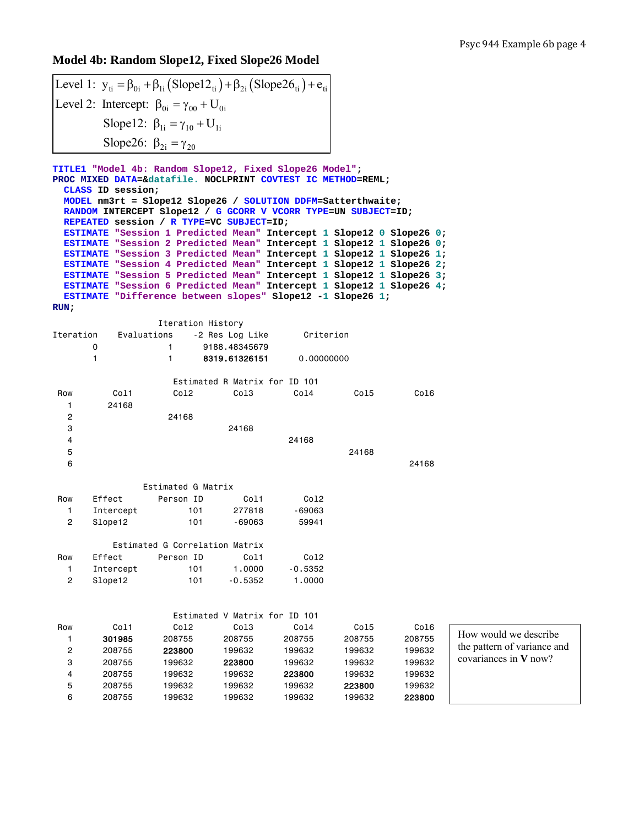## **Model 4b: Random Slope12, Fixed Slope26 Model**

| Level 1: $y_{ti} = \beta_{0i} + \beta_{1i} (Slope12_{ti}) + \beta_{2i} (Slope26_{ti}) + e_{ti}$ |
|-------------------------------------------------------------------------------------------------|
| Level 2: Intercept: $\beta_{0i} = \gamma_{00} + U_{0i}$                                         |
| Slope12: $\beta_{1i} = \gamma_{10} + U_{1i}$                                                    |
| Slope26: $\beta_{2i} = \gamma_{20}$                                                             |

**TITLE1 "Model 4b: Random Slope12, Fixed Slope26 Model"; PROC MIXED DATA=&datafile. NOCLPRINT COVTEST IC METHOD=REML; CLASS ID session; MODEL nm3rt = Slope12 Slope26 / SOLUTION DDFM=Satterthwaite; RANDOM INTERCEPT Slope12 / G GCORR V VCORR TYPE=UN SUBJECT=ID; REPEATED session / R TYPE=VC SUBJECT=ID; ESTIMATE "Session 1 Predicted Mean" Intercept 1 Slope12 0 Slope26 0; ESTIMATE "Session 2 Predicted Mean" Intercept 1 Slope12 1 Slope26 0; ESTIMATE "Session 3 Predicted Mean" Intercept 1 Slope12 1 Slope26 1; ESTIMATE "Session 4 Predicted Mean" Intercept 1 Slope12 1 Slope26 2; ESTIMATE "Session 5 Predicted Mean" Intercept 1 Slope12 1 Slope26 3; ESTIMATE "Session 6 Predicted Mean" Intercept 1 Slope12 1 Slope26 4; ESTIMATE "Difference between slopes" Slope12 -1 Slope26 1; RUN;** 

|                |             | Iteration History              |                               |                  |       |       |  |
|----------------|-------------|--------------------------------|-------------------------------|------------------|-------|-------|--|
| Iteration      | Evaluations |                                | -2 Res Log Like               | Criterion        |       |       |  |
|                | 0           | 1.                             | 9188.48345679                 |                  |       |       |  |
|                | 1           | 1                              | 8319.61326151                 | 0,00000000       |       |       |  |
|                |             |                                | Estimated R Matrix for ID 101 |                  |       |       |  |
| Row            | Col1        | Col <sub>2</sub>               | Col3                          | Col4             | Col5  | Co16  |  |
| 1              | 24168       |                                |                               |                  |       |       |  |
| $\overline{c}$ |             | 24168                          |                               |                  |       |       |  |
| 3              |             |                                | 24168                         |                  |       |       |  |
| 4              |             |                                |                               | 24168            |       |       |  |
| 5              |             |                                |                               |                  | 24168 |       |  |
| 6              |             |                                |                               |                  |       | 24168 |  |
|                |             | Estimated G Matrix             |                               |                  |       |       |  |
| Row            | Effect      | Person ID                      | Col1                          | Col <sub>2</sub> |       |       |  |
| 1.             | Intercept   | 101                            | 277818                        | $-69063$         |       |       |  |
| $\overline{2}$ | Slope12     | 101                            | -69063                        | 59941            |       |       |  |
|                |             | Estimated G Correlation Matrix |                               |                  |       |       |  |
| Row            | Effect      | Person ID                      | Col1                          | Col <sub>2</sub> |       |       |  |
| 1.             | Intercept   | 101                            | 1,0000                        | $-0.5352$        |       |       |  |
| $\overline{2}$ | Slope12     | 101                            | $-0.5352$                     | 1.0000           |       |       |  |
|                |             |                                |                               |                  |       |       |  |
|                |             |                                |                               |                  |       |       |  |

|     |        |                  | Estimated V Matrix for ID 101 |        |        |        |
|-----|--------|------------------|-------------------------------|--------|--------|--------|
| Row | Col1   | Col <sub>2</sub> | Col3                          | Col4   | Col5   | Col6   |
|     | 301985 | 208755           | 208755                        | 208755 | 208755 | 208755 |
| 2   | 208755 | 223800           | 199632                        | 199632 | 199632 | 199632 |
| 3   | 208755 | 199632           | 223800                        | 199632 | 199632 | 199632 |
| 4   | 208755 | 199632           | 199632                        | 223800 | 199632 | 199632 |
| 5   | 208755 | 199632           | 199632                        | 199632 | 223800 | 199632 |
| 6   | 208755 | 199632           | 199632                        | 199632 | 199632 | 223800 |

How would we describe the pattern of variance and covariances in **V** now?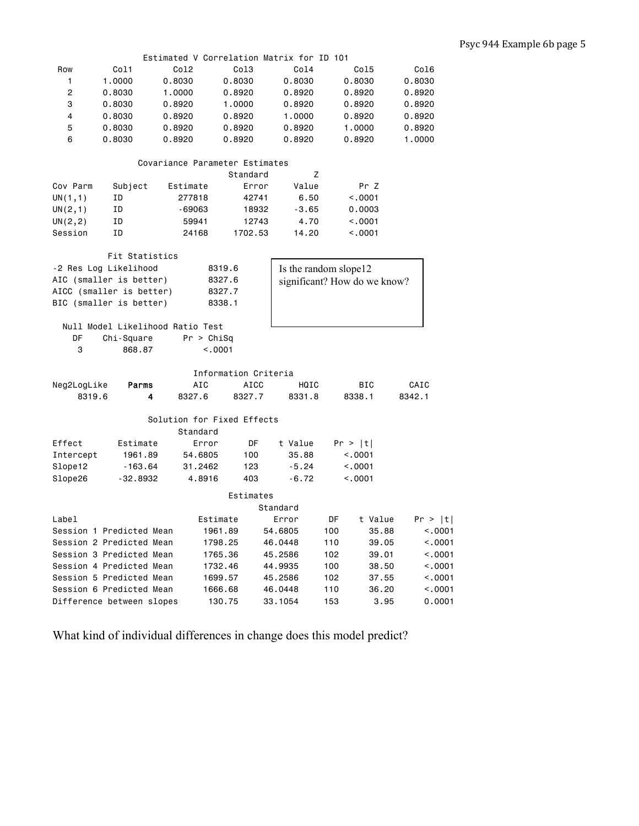|                          |                           | Estimated V Correlation Matrix for ID 101 |                      |                    |                              |         |
|--------------------------|---------------------------|-------------------------------------------|----------------------|--------------------|------------------------------|---------|
| Row                      | Col1                      | Col2                                      | Col <sub>3</sub>     | Co14               | Col5                         | Col6    |
| 1                        | 1.0000                    | 0.8030                                    | 0.8030               | 0.8030             | 0.8030                       | 0.8030  |
| 2                        | 0.8030                    | 1.0000                                    | 0.8920               | 0.8920             | 0.8920                       | 0.8920  |
| 3                        | 0.8030                    | 0.8920                                    | 1.0000               | 0.8920             | 0.8920                       | 0.8920  |
| 4                        | 0.8030                    | 0.8920                                    | 0.8920               | 1.0000             | 0.8920                       | 0.8920  |
| 5                        | 0.8030                    | 0.8920                                    | 0.8920               | 0.8920             | 1.0000                       | 0.8920  |
| 6                        | 0.8030                    | 0.8920                                    | 0.8920               | 0.8920             | 0.8920                       | 1.0000  |
|                          |                           |                                           |                      |                    |                              |         |
|                          |                           | Covariance Parameter Estimates            |                      |                    |                              |         |
|                          |                           |                                           | Standard             | Z                  |                              |         |
| Cov Parm                 | Subject                   | Estimate                                  | Error                | Value              | Pr Z                         |         |
| UN(1,1)                  | ΙD                        | 277818                                    | 42741                | 6.50               | < .0001                      |         |
| UN(2,1)                  | ΙD                        | -69063                                    | 18932                | $-3.65$            | 0.0003                       |         |
| UN(2, 2)                 | ΙD                        | 59941                                     | 12743                | 4.70               | < .0001                      |         |
| Session                  | ΙD                        | 24168                                     | 1702.53              | 14.20              | < .0001                      |         |
|                          |                           |                                           |                      |                    |                              |         |
|                          | Fit Statistics            |                                           |                      |                    |                              |         |
|                          | -2 Res Log Likelihood     |                                           | 8319.6               |                    | Is the random slope12        |         |
|                          | AIC (smaller is better)   |                                           | 8327.6               |                    | significant? How do we know? |         |
|                          | AICC (smaller is better)  |                                           | 8327.7               |                    |                              |         |
|                          | BIC (smaller is better)   |                                           | 8338.1               |                    |                              |         |
|                          |                           |                                           |                      |                    |                              |         |
|                          |                           | Null Model Likelihood Ratio Test          |                      |                    |                              |         |
| DF                       | Chi-Square                | Pr > Chisq                                |                      |                    |                              |         |
| 3                        | 868.87                    | < .0001                                   |                      |                    |                              |         |
|                          |                           |                                           |                      |                    |                              |         |
|                          |                           |                                           | Information Criteria |                    |                              |         |
| Neg2LogLike              | Parms                     | AIC                                       | AICC                 | HQIC               | BIC                          | CAIC    |
| 8319.6                   | 4                         | 8327.6                                    | 8327.7               | 8331.8             | 8338.1                       | 8342.1  |
|                          |                           |                                           |                      |                    |                              |         |
|                          |                           | Solution for Fixed Effects                |                      |                    |                              |         |
|                          |                           | Standard                                  |                      |                    |                              |         |
| Effect                   | Estimate                  | Error                                     | DF                   | t Value            | Pr >  t                      |         |
| Intercept                | 1961.89                   | 54.6805                                   | 100                  | 35.88              | < .0001                      |         |
| Slope12                  | $-163.64$                 | 31.2462                                   | 123                  | $-5.24$            | < 0.001                      |         |
| Slope26                  | $-32.8932$                | 4.8916                                    | 403                  | $-6.72$            | < 0.001                      |         |
|                          |                           |                                           |                      |                    |                              |         |
|                          |                           |                                           | Estimates            |                    |                              |         |
|                          |                           |                                           |                      | Standard           |                              |         |
| Label                    |                           | Estimate                                  |                      | Error              | DF<br>t Value                | Pr >  t |
|                          | Session 1 Predicted Mean  |                                           | 1961.89              | 54.6805            | 100<br>35.88                 | < .0001 |
|                          | Session 2 Predicted Mean  |                                           | 1798.25              | 46.0448            | 110<br>39.05                 | < .0001 |
|                          | Session 3 Predicted Mean  |                                           | 1765.36              | 45.2586            | 102<br>39.01                 | < .0001 |
|                          | Session 4 Predicted Mean  |                                           | 1732.46              | 44.9935            | 100<br>38.50                 | < .0001 |
|                          | Session 5 Predicted Mean  |                                           | 1699.57              | 45.2586            | 102<br>37.55                 | < 0001  |
| Session 6 Predicted Mean |                           |                                           |                      |                    |                              | < .0001 |
|                          | Difference between slopes |                                           | 1666.68<br>130.75    | 46.0448<br>33.1054 | 110<br>36.20<br>153<br>3.95  | 0.0001  |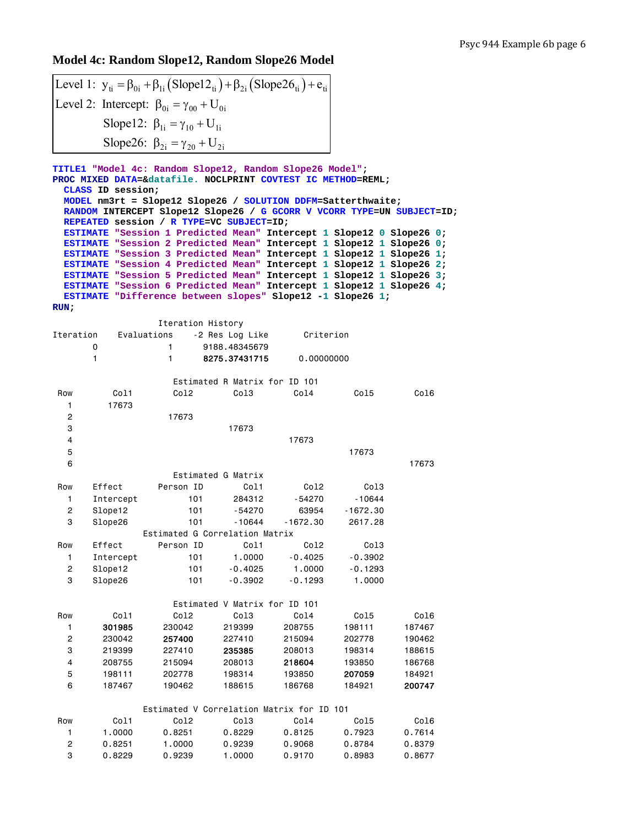## **Model 4c: Random Slope12, Random Slope26 Model**

```
Level 1: y_{ti} = \beta_{0i} + \beta_{1i} (Slope12_{ti}) + \beta_{2i} (Slope26_{ti}) + e_{ti}Level 2: Intercept: \beta_{0i} = \gamma_{00} + U_{0i}Slope12: \beta_{1i} = \gamma_{10} + U_{1i}Slope26: \beta_{2i} = \gamma_{20} + U_{2i}
```
**TITLE1 "Model 4c: Random Slope12, Random Slope26 Model"; PROC MIXED DATA=&datafile. NOCLPRINT COVTEST IC METHOD=REML; CLASS ID session; MODEL nm3rt = Slope12 Slope26 / SOLUTION DDFM=Satterthwaite; RANDOM INTERCEPT Slope12 Slope26 / G GCORR V VCORR TYPE=UN SUBJECT=ID; REPEATED session / R TYPE=VC SUBJECT=ID; ESTIMATE "Session 1 Predicted Mean" Intercept 1 Slope12 0 Slope26 0; ESTIMATE "Session 2 Predicted Mean" Intercept 1 Slope12 1 Slope26 0; ESTIMATE "Session 3 Predicted Mean" Intercept 1 Slope12 1 Slope26 1; ESTIMATE "Session 4 Predicted Mean" Intercept 1 Slope12 1 Slope26 2; ESTIMATE "Session 5 Predicted Mean" Intercept 1 Slope12 1 Slope26 3; ESTIMATE "Session 6 Predicted Mean" Intercept 1 Slope12 1 Slope26 4; ESTIMATE "Difference between slopes" Slope12 -1 Slope26 1; RUN;** 

|                |           | Iteration History                         |                               |            |                  |        |
|----------------|-----------|-------------------------------------------|-------------------------------|------------|------------------|--------|
| Iteration      |           | Evaluations                               | -2 Res Log Like               | Criterion  |                  |        |
|                | 0         | 1                                         | 9188.48345679                 |            |                  |        |
|                | 1         | 1                                         | 8275.37431715                 | 0.00000000 |                  |        |
|                |           |                                           |                               |            |                  |        |
|                |           |                                           | Estimated R Matrix for ID 101 |            |                  |        |
| Row            | Co11      | Co12                                      | Col3                          | Co14       | Co15             | Col6   |
| 1              | 17673     |                                           |                               |            |                  |        |
| $\overline{c}$ |           | 17673                                     |                               |            |                  |        |
| 3              |           |                                           | 17673                         |            |                  |        |
| 4              |           |                                           |                               | 17673      |                  |        |
| 5              |           |                                           |                               |            | 17673            |        |
| 6              |           |                                           |                               |            |                  | 17673  |
|                |           |                                           | Estimated G Matrix            |            |                  |        |
| Row            | Effect    | Person ID                                 | Col1                          | Co12       | Col <sub>3</sub> |        |
| 1              | Intercept | 101                                       | 284312                        | $-54270$   | $-10644$         |        |
| 2              | Slope12   | 101                                       | $-54270$                      | 63954      | $-1672.30$       |        |
| 3              | Slope26   | 101                                       | $-10644$                      | $-1672.30$ | 2617.28          |        |
|                |           | Estimated G Correlation Matrix            |                               |            |                  |        |
| Row            | Effect    | Person ID                                 | Col1                          | Co12       | Col <sub>3</sub> |        |
| 1              | Intercept | 101                                       | 1,0000                        | $-0.4025$  | $-0.3902$        |        |
| $\overline{c}$ | Slope12   | 101                                       | $-0.4025$                     | 1,0000     | $-0.1293$        |        |
| 3              | Slope26   | 101                                       | $-0.3902$                     | $-0.1293$  | 1.0000           |        |
|                |           |                                           |                               |            |                  |        |
|                |           |                                           | Estimated V Matrix for ID 101 |            |                  |        |
| Row            | Col1      | Col <sub>2</sub>                          | Col <sub>3</sub>              | Co14       | Co15             | Col6   |
| 1              | 301985    | 230042                                    | 219399                        | 208755     | 198111           | 187467 |
| $\overline{2}$ | 230042    | 257400                                    | 227410                        | 215094     | 202778           | 190462 |
| 3              | 219399    | 227410                                    | 235385                        | 208013     | 198314           | 188615 |
| 4              | 208755    | 215094                                    | 208013                        | 218604     | 193850           | 186768 |
| 5              | 198111    | 202778                                    | 198314                        | 193850     | 207059           | 184921 |
| 6              | 187467    | 190462                                    | 188615                        | 186768     | 184921           | 200747 |
|                |           |                                           |                               |            |                  |        |
|                |           | Estimated V Correlation Matrix for ID 101 |                               |            |                  |        |
| Row            | Col1      | Col <sub>2</sub>                          | Col <sub>3</sub>              | Co14       | Co15             | Col6   |
| 1              | 1.0000    | 0.8251                                    | 0.8229                        | 0.8125     | 0.7923           | 0.7614 |
| $\overline{c}$ | 0.8251    | 1.0000                                    | 0.9239                        | 0.9068     | 0.8784           | 0.8379 |
| 3              | 0.8229    | 0.9239                                    | 1.0000                        | 0.9170     | 0.8983           | 0.8677 |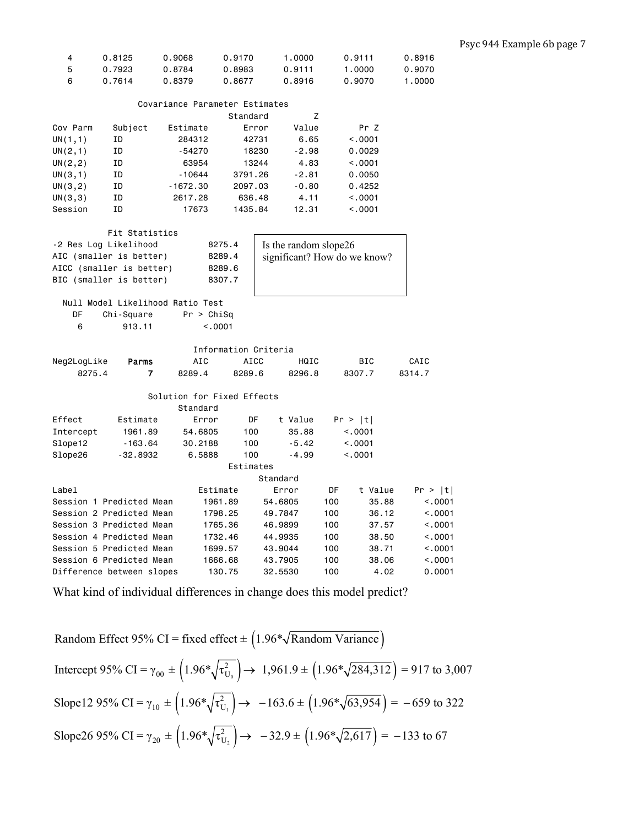| 4 | 0.8125 | 0.9068 | 0.9170 | 1.0000 | 0.9111 | 0.8916 |
|---|--------|--------|--------|--------|--------|--------|
| 5 | 0.7923 | 0.8784 | 0.8983 | 0.9111 | 1.0000 | 0.9070 |
| 6 | 0.7614 | 0.8379 | 0.8677 | 0.8916 | 0.9070 | 1.0000 |

|          |         |            | Covariance Parameter Estimates |         |         |
|----------|---------|------------|--------------------------------|---------|---------|
|          |         |            | Standard                       | Ζ       |         |
| Cov Parm | Subject | Fstimate   | Error                          | Value   | Pr Z    |
| UN(1,1)  | ΙD      | 284312     | 42731                          | 6.65    | < 0.001 |
| UN(2,1)  | ΙD      | $-54270$   | 18230                          | $-2.98$ | 0.0029  |
| UN(2, 2) | ΙD      | 63954      | 13244                          | 4.83    | < 0.001 |
| UN(3,1)  | ΙD      | $-10644$   | 3791.26                        | $-2.81$ | 0.0050  |
| UN(3, 2) | ΙD      | $-1672.30$ | 2097.03                        | $-0.80$ | 0.4252  |
| UN(3,3)  | ΙD      | 2617.28    | 636.48                         | 4.11    | < 0.001 |
| Session  | ΙD      | 17673      | 1435.84                        | 12.31   | < 0.001 |

|                         | Fit Statistics                   |                            |             |                              |     |            |         |  |
|-------------------------|----------------------------------|----------------------------|-------------|------------------------------|-----|------------|---------|--|
| -2 Res Log Likelihood   |                                  | 8275.4                     |             | Is the random slope26        |     |            |         |  |
| AIC (smaller is better) |                                  | 8289.4                     |             | significant? How do we know? |     |            |         |  |
|                         | AICC (smaller is better)         | 8289.6                     |             |                              |     |            |         |  |
| BIC (smaller is better) |                                  | 8307.7                     |             |                              |     |            |         |  |
|                         |                                  |                            |             |                              |     |            |         |  |
|                         | Null Model Likelihood Ratio Test |                            |             |                              |     |            |         |  |
| <b>DF</b>               | Chi-Square                       | Pr > Chisq                 |             |                              |     |            |         |  |
| 6                       | 913.11                           | < 0.001                    |             |                              |     |            |         |  |
|                         |                                  |                            |             |                              |     |            |         |  |
|                         |                                  | Information Criteria       |             |                              |     |            |         |  |
| Neg2LogLike             | Parms                            | AIC                        | <b>AICC</b> | HQIC                         |     | <b>BIC</b> | CAIC    |  |
| 8275.4                  | 7                                | 8289.4                     | 8289.6      | 8296.8                       |     | 8307.7     | 8314.7  |  |
|                         |                                  |                            |             |                              |     |            |         |  |
|                         |                                  | Solution for Fixed Effects |             |                              |     |            |         |  |
|                         |                                  | Standard                   |             |                              |     |            |         |  |
| Effect                  | Estimate                         | Error                      | DF          | t Value                      |     | Pr >  t    |         |  |
| Intercept               | 1961.89                          | 54,6805                    | 100         | 35.88                        |     | < 0.001    |         |  |
| Slope12                 | $-163.64$                        | 30.2188                    | 100         | $-5.42$                      |     | < 0.001    |         |  |
| Slope26                 | $-32.8932$                       | 6.5888                     | 100         | $-4.99$                      |     | < 0.001    |         |  |
|                         |                                  |                            | Estimates   |                              |     |            |         |  |
|                         |                                  |                            |             | Standard                     |     |            |         |  |
| Label                   |                                  | Estimate                   |             | Error                        | DF  | t Value    | Pr >  t |  |
|                         | Session 1 Predicted Mean         | 1961.89                    |             | 54,6805                      | 100 | 35.88      | < 0.001 |  |
|                         | Session 2 Predicted Mean         | 1798.25                    |             | 49,7847                      | 100 | 36.12      | < 0.001 |  |
|                         | Session 3 Predicted Mean         | 1765.36                    |             | 46,9899                      | 100 | 37.57      | < 0.001 |  |
|                         | Session 4 Predicted Mean         | 1732.46                    |             | 44,9935                      | 100 | 38.50      | < 0.001 |  |
|                         | Session 5 Predicted Mean         | 1699.57                    |             | 43,9044                      | 100 | 38.71      | < 0.001 |  |
|                         | Session 6 Predicted Mean         | 1666.68                    |             | 43,7905                      | 100 | 38,06      | < 0.001 |  |
|                         | Difference between slopes        | 130.75                     |             | 32,5530                      | 100 | 4.02       | 0.0001  |  |

Random Effect 95% CI = fixed effect 
$$
\pm (1.96 \sqrt[k]{\text{Random Variance}})
$$
  
\nIntercept 95% CI =  $\gamma_{00} \pm (1.96 \sqrt{\tau_{U_0}^2}) \rightarrow 1.961.9 \pm (1.96 \sqrt[*]{284,312}) = 917$  to 3,007  
\nSlope12 95% CI =  $\gamma_{10} \pm (1.96 \sqrt[*]{\tau_{U_1}^2}) \rightarrow -163.6 \pm (1.96 \sqrt[*]{63,954}) = -659$  to 322  
\nSlope26 95% CI =  $\gamma_{20} \pm (1.96 \sqrt[*]{\tau_{U_2}^2}) \rightarrow -32.9 \pm (1.96 \sqrt[*]{2,617}) = -133$  to 67

 $\mathcal{L}$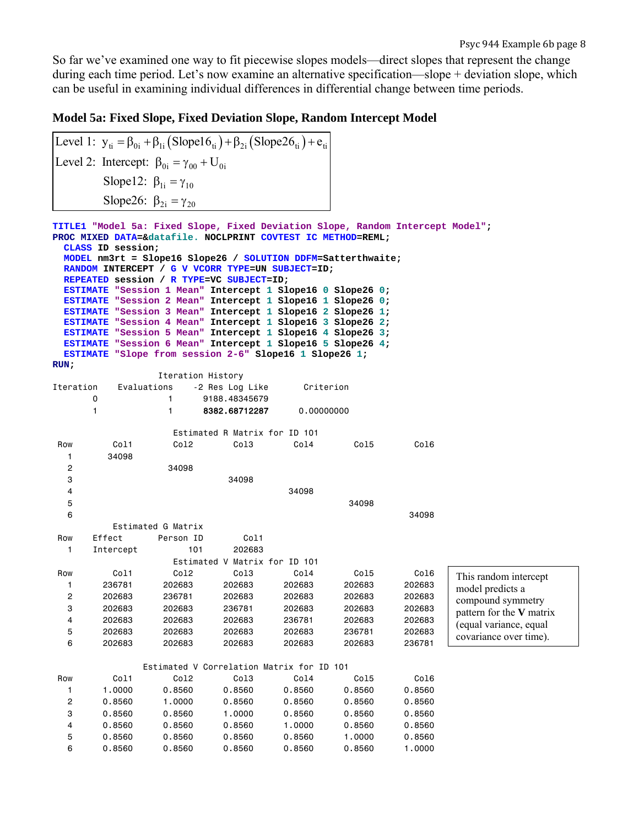So far we've examined one way to fit piecewise slopes models—direct slopes that represent the change during each time period. Let's now examine an alternative specification—slope + deviation slope, which can be useful in examining individual differences in differential change between time periods.

#### **Model 5a: Fixed Slope, Fixed Deviation Slope, Random Intercept Model**

```
Level 1: y_{ti} = \beta_{0i} + \beta_{1i} (Slope16_{ti}) + \beta_{2i} (Slope26_{ti}) + e_{ti}Level 2: Intercept: \beta_{0i} = \gamma_{00} + U_{0i}Slope12: \beta_{1i} = \gamma_{10}Slope26: \beta_{2i} = \gamma_{20}TITLE1 "Model 5a: Fixed Slope, Fixed Deviation Slope, Random Intercept Model"; 
PROC MIXED DATA=&datafile. NOCLPRINT COVTEST IC METHOD=REML; 
  CLASS ID session; 
  MODEL nm3rt = Slope16 Slope26 / SOLUTION DDFM=Satterthwaite; 
  RANDOM INTERCEPT / G V VCORR TYPE=UN SUBJECT=ID; 
  REPEATED session / R TYPE=VC SUBJECT=ID; 
  ESTIMATE "Session 1 Mean" Intercept 1 Slope16 0 Slope26 0; 
  ESTIMATE "Session 2 Mean" Intercept 1 Slope16 1 Slope26 0; 
  ESTIMATE "Session 3 Mean" Intercept 1 Slope16 2 Slope26 1; 
  ESTIMATE "Session 4 Mean" Intercept 1 Slope16 3 Slope26 2; 
  ESTIMATE "Session 5 Mean" Intercept 1 Slope16 4 Slope26 3; 
  ESTIMATE "Session 6 Mean" Intercept 1 Slope16 5 Slope26 4; 
  ESTIMATE "Slope from session 2-6" Slope16 1 Slope26 1; 
RUN; 
                Iteration History 
Iteration Evaluations -2 Res Log Like Criterion 
       0 1 9188.48345679 
       1 1 8382.68712287 0.00000000 
                  Estimated R Matrix for ID 101 
 Row Col1 Col2 Col3 Col4 Col5 Col6 
   1 34098 
   2 34098 
 3 34098 
 4 34098 
 5 34098 
6 34098
          Estimated G Matrix 
Row Effect Person ID Col1
   1 Intercept 101 202683 
                  Estimated V Matrix for ID 101 
 Row Col1 Col2 Col3 Col4 Col5 Col6 
 1 236781 202683 202683 202683 202683 202683 
 2 202683 236781 202683 202683 202683 202683 
 3 202683 202683 236781 202683 202683 202683 
 4 202683 202683 202683 236781 202683 202683 
 5 202683 202683 202683 202683 236781 202683 
 6 202683 202683 202683 202683 202683 236781 
              Estimated V Correlation Matrix for ID 101 
 Row Col1 Col2 Col3 Col4 Col5 Col6 
 1 1.0000 0.8560 0.8560 0.8560 0.8560 0.8560 
 2 0.8560 1.0000 0.8560 0.8560 0.8560 0.8560 
 3 0.8560 0.8560 1.0000 0.8560 0.8560 0.8560 
 4 0.8560 0.8560 0.8560 1.0000 0.8560 0.8560 
 5 0.8560 0.8560 0.8560 0.8560 1.0000 0.8560 
 6 0.8560 0.8560 0.8560 0.8560 0.8560 1.0000 
                                                           This random intercept 
                                                           model predicts a 
                                                           compound symmetry 
                                                           pattern for the V matrix 
                                                           (equal variance, equal 
                                                           covariance over time).
```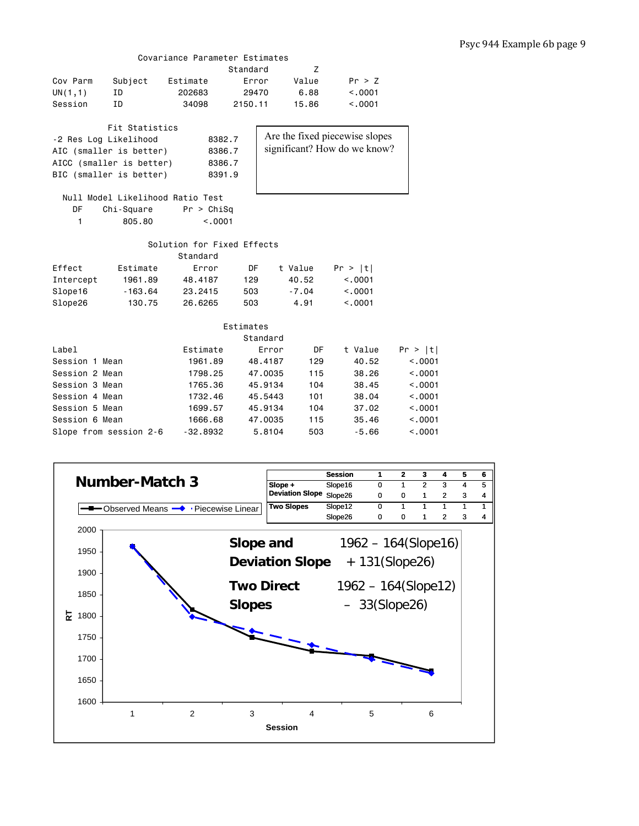## Covariance Parameter Estimates

|                       |                          | al Ianoc Talamcici LotImatco     |           |          |         |                                |         |
|-----------------------|--------------------------|----------------------------------|-----------|----------|---------|--------------------------------|---------|
|                       |                          |                                  | Standard  |          | Z       |                                |         |
| Cov Parm              | Subject                  | Estimate                         | Error     |          | Value   | Pr > Z                         |         |
| UN(1,1)               | ID                       | 202683                           | 29470     |          | 6.88    | < .0001                        |         |
| Session               | ID                       | 34098                            | 2150.11   |          | 15.86   | < .0001                        |         |
|                       |                          |                                  |           |          |         |                                |         |
|                       | Fit Statistics           |                                  |           |          |         |                                |         |
| -2 Res Log Likelihood |                          | 8382.7                           |           |          |         | Are the fixed piecewise slopes |         |
|                       | AIC (smaller is better)  | 8386.7                           |           |          |         | significant? How do we know?   |         |
|                       | AICC (smaller is better) | 8386.7                           |           |          |         |                                |         |
|                       | BIC (smaller is better)  | 8391.9                           |           |          |         |                                |         |
|                       |                          |                                  |           |          |         |                                |         |
|                       |                          | Null Model Likelihood Ratio Test |           |          |         |                                |         |
| DF                    | Chi-Square               | Pr > Chisq                       |           |          |         |                                |         |
| 1                     | 805.80                   | < 0.001                          |           |          |         |                                |         |
|                       |                          |                                  |           |          |         |                                |         |
|                       |                          | Solution for Fixed Effects       |           |          |         |                                |         |
|                       |                          | Standard                         |           |          |         |                                |         |
| Effect                | Estimate                 | Error                            | DF        |          | t Value | Pr >  t                        |         |
| Intercept             | 1961.89                  | 48.4187                          | 129       |          | 40.52   | < 0.001                        |         |
| Slope16               | $-163.64$                | 23.2415                          | 503       |          | $-7.04$ | < 0.001                        |         |
| Slope26               | 130.75                   | 26.6265                          | 503       |          | 4.91    | < .0001                        |         |
|                       |                          |                                  |           |          |         |                                |         |
|                       |                          |                                  | Estimates |          |         |                                |         |
|                       |                          |                                  |           | Standard |         |                                |         |
| Label                 |                          | Estimate                         |           | Error    | DF      | t Value                        | Pr >  t |
| Session 1 Mean        |                          | 1961.89                          |           | 48.4187  | 129     | 40.52                          | < .0001 |
| Session 2 Mean        |                          | 1798.25                          |           | 47.0035  | 115     | 38.26                          | < .0001 |
| Session 3 Mean        |                          | 1765.36                          |           | 45.9134  | 104     | 38.45                          | < .0001 |
| Session 4 Mean        |                          | 1732.46                          |           | 45.5443  | 101     | 38.04                          | < 0.001 |
| Session 5 Mean        |                          | 1699.57                          |           | 45,9134  | 104     | 37.02                          | < 0.001 |
| Session 6 Mean        |                          | 1666.68                          |           | 47,0035  | 115     | 35.46                          | < .0001 |
|                       | Slope from session 2-6   | $-32,8932$                       |           | 5.8104   | 503     | $-5.66$                        | < 0.001 |

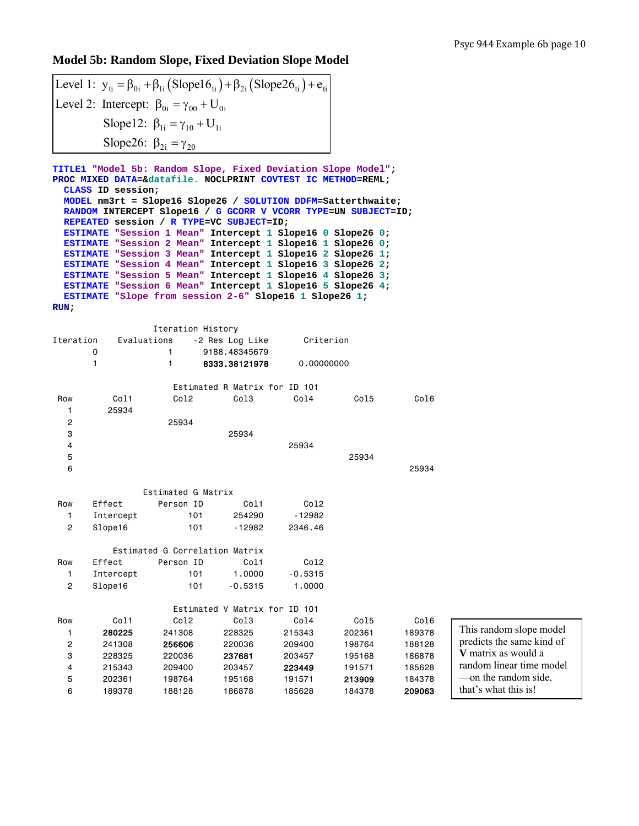# **Model 5b: Random Slope, Fixed Deviation Slope Model**

| Level 1: $y_{ti} = \beta_{0i} + \beta_{1i} (Slope16_{ti}) + \beta_{2i} (Slope26_{ti}) + e_{ti}$ |  |
|-------------------------------------------------------------------------------------------------|--|
| Level 2: Intercept: $\beta_{0i} = \gamma_{00} + U_{0i}$                                         |  |
| Slope12: $\beta_{1i} = \gamma_{10} + U_{1i}$                                                    |  |
| Slope26: $\beta_{2i} = \gamma_{20}$                                                             |  |

**TITLE1 "Model 5b: Random Slope, Fixed Deviation Slope Model"; PROC MIXED DATA=&datafile. NOCLPRINT COVTEST IC METHOD=REML; CLASS ID session; MODEL nm3rt = Slope16 Slope26 / SOLUTION DDFM=Satterthwaite; RANDOM INTERCEPT Slope16 / G GCORR V VCORR TYPE=UN SUBJECT=ID; REPEATED session / R TYPE=VC SUBJECT=ID; ESTIMATE "Session 1 Mean" Intercept 1 Slope16 0 Slope26 0; ESTIMATE "Session 2 Mean" Intercept 1 Slope16 1 Slope26 0; ESTIMATE "Session 3 Mean" Intercept 1 Slope16 2 Slope26 1; ESTIMATE "Session 4 Mean" Intercept 1 Slope16 3 Slope26 2; ESTIMATE "Session 5 Mean" Intercept 1 Slope16 4 Slope26 3; ESTIMATE "Session 6 Mean" Intercept 1 Slope16 5 Slope26 4; ESTIMATE "Slope from session 2-6" Slope16 1 Slope26 1; RUN;** 

|           |                  | Iteration History              |                               |                  |                  |                  |                           |
|-----------|------------------|--------------------------------|-------------------------------|------------------|------------------|------------------|---------------------------|
| Iteration | Evaluations      |                                | -2 Res Log Like               | Criterion        |                  |                  |                           |
|           | 0                | 1                              | 9188.48345679                 |                  |                  |                  |                           |
|           | 1                | 1                              | 8333.38121978                 | 0.00000000       |                  |                  |                           |
|           |                  |                                | Estimated R Matrix for ID 101 |                  |                  |                  |                           |
| Row       | Col1             | Col <sub>2</sub>               | Co13                          | Co14             | Co15             | Co16             |                           |
| 1         | 25934            |                                |                               |                  |                  |                  |                           |
| 2         |                  | 25934                          |                               |                  |                  |                  |                           |
| 3         |                  |                                | 25934                         |                  |                  |                  |                           |
| 4         |                  |                                |                               | 25934            |                  |                  |                           |
| 5         |                  |                                |                               |                  | 25934            |                  |                           |
| 6         |                  |                                |                               |                  |                  | 25934            |                           |
|           |                  |                                |                               |                  |                  |                  |                           |
|           |                  | Estimated G Matrix             |                               |                  |                  |                  |                           |
| Row       | Effect           | Person ID                      | Col1                          | Co12             |                  |                  |                           |
| 1         | Intercept        | 101                            | 254290                        | $-12982$         |                  |                  |                           |
| 2         | Slope16          | 101                            | $-12982$                      | 2346.46          |                  |                  |                           |
|           |                  | Estimated G Correlation Matrix |                               |                  |                  |                  |                           |
| Row       | Effect           | Person ID                      | Col1                          | Co12             |                  |                  |                           |
| 1         | Intercept        | 101                            | 1,0000                        | $-0.5315$        |                  |                  |                           |
| 2         | Slope16          | 101                            | $-0.5315$                     | 1.0000           |                  |                  |                           |
|           |                  |                                |                               |                  |                  |                  |                           |
|           |                  |                                | Estimated V Matrix for ID 101 |                  |                  |                  |                           |
| Row       | Col1             | Co12                           | Col3                          | Co14             | Co15             | Co16             | This random slope model   |
| 1         | 280225           | 241308                         | 228325                        | 215343           | 202361           | 189378           | predicts the same kind of |
| 2         | 241308           | 256606                         | 220036                        | 209400           | 198764           | 188128           | V matrix as would a       |
| 3         | 228325           | 220036                         | 237681                        | 203457           | 195168           | 186878           | random linear time model  |
| 4         | 215343           | 209400<br>198764               | 203457<br>195168              | 223449           | 191571           | 185628<br>184378 | -on the random side,      |
| 5<br>6    | 202361<br>189378 | 188128                         | 186878                        | 191571<br>185628 | 213909<br>184378 |                  | that's what this is!      |
|           |                  |                                |                               |                  |                  | 209063           |                           |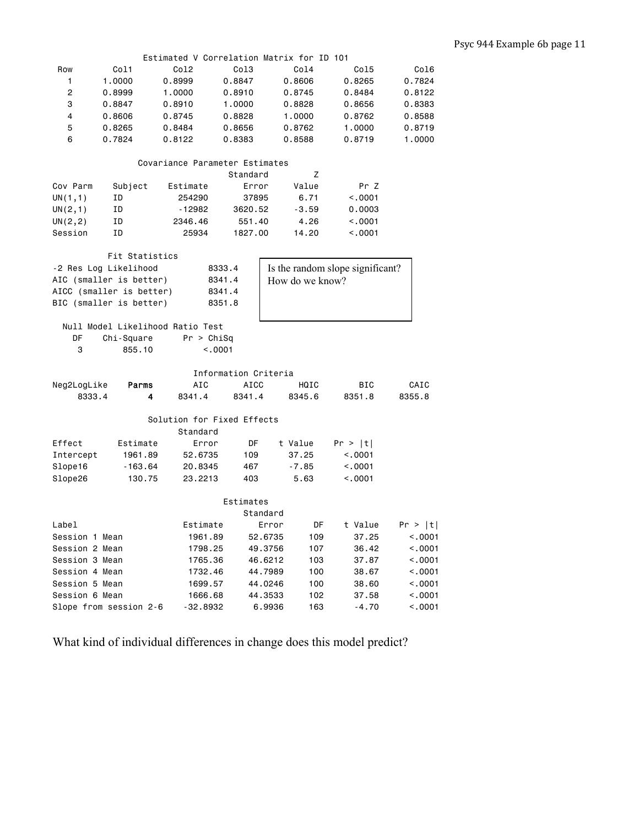|                |                                | Estimated V Correlation Matrix for ID 101 |                      |         |                 |                                  |         |  |  |  |  |
|----------------|--------------------------------|-------------------------------------------|----------------------|---------|-----------------|----------------------------------|---------|--|--|--|--|
| Row            | Col1                           | Col <sub>2</sub>                          | Co13                 |         | Col4            | Co15                             | Col6    |  |  |  |  |
| 1              | 1.0000                         | 0.8999                                    | 0.8847               |         | 0.8606          | 0.8265                           | 0.7824  |  |  |  |  |
| 2              | 0.8999                         | 1.0000                                    | 0.8910               |         | 0.8745          | 0.8484                           | 0.8122  |  |  |  |  |
| 3              | 0.8847                         | 0.8910                                    | 1.0000               |         | 0.8828          | 0.8656                           | 0.8383  |  |  |  |  |
| 4              | 0.8606                         | 0.8745                                    | 0.8828               |         | 1.0000          | 0.8762                           | 0.8588  |  |  |  |  |
| 5              | 0.8265                         | 0.8484                                    | 0.8656               |         | 0.8762          | 1.0000                           | 0.8719  |  |  |  |  |
| 6              | 0.7824                         | 0.8122                                    | 0.8383               |         | 0.8588          | 0.8719                           | 1.0000  |  |  |  |  |
|                | Covariance Parameter Estimates |                                           |                      |         |                 |                                  |         |  |  |  |  |
|                |                                |                                           | Standard             |         | z               |                                  |         |  |  |  |  |
| Cov Parm       | Subject                        | Estimate                                  | Error                |         | Value           | Pr Z                             |         |  |  |  |  |
| UN(1,1)        | ΙD                             | 254290                                    | 37895                |         | 6.71            | < .0001                          |         |  |  |  |  |
| UN(2,1)        | ΙD                             | -12982                                    | 3620.52              |         | $-3.59$         | 0.0003                           |         |  |  |  |  |
| UN(2, 2)       | ΙD                             | 2346.46                                   | 551.40               |         | 4.26            | < .0001                          |         |  |  |  |  |
| Session        | ΙD                             | 25934                                     | 1827.00              |         | 14.20           | < .0001                          |         |  |  |  |  |
|                |                                |                                           |                      |         |                 |                                  |         |  |  |  |  |
|                | Fit Statistics                 |                                           |                      |         |                 |                                  |         |  |  |  |  |
|                | -2 Res Log Likelihood          |                                           | 8333.4               |         |                 | Is the random slope significant? |         |  |  |  |  |
|                | AIC (smaller is better)        |                                           | 8341.4               |         | How do we know? |                                  |         |  |  |  |  |
|                | AICC (smaller is better)       |                                           | 8341.4               |         |                 |                                  |         |  |  |  |  |
|                | BIC (smaller is better)        |                                           | 8351.8               |         |                 |                                  |         |  |  |  |  |
|                |                                |                                           |                      |         |                 |                                  |         |  |  |  |  |
|                |                                | Null Model Likelihood Ratio Test          |                      |         |                 |                                  |         |  |  |  |  |
| DF             | Chi-Square                     | Pr > Chisq                                |                      |         |                 |                                  |         |  |  |  |  |
| 3              | 855.10                         | < 0001                                    |                      |         |                 |                                  |         |  |  |  |  |
|                |                                |                                           |                      |         |                 |                                  |         |  |  |  |  |
|                |                                |                                           | Information Criteria |         |                 |                                  |         |  |  |  |  |
| Neg2LogLike    | Parms                          | AIC                                       | <b>AICC</b>          |         | HQIC            | BIC                              | CAIC    |  |  |  |  |
| 8333.4         | 4                              | 8341.4                                    | 8341.4               |         | 8345.6          | 8351.8                           | 8355.8  |  |  |  |  |
|                |                                | Solution for Fixed Effects                |                      |         |                 |                                  |         |  |  |  |  |
|                |                                | Standard                                  |                      |         |                 |                                  |         |  |  |  |  |
| Effect         | Estimate                       | Error                                     | DF                   |         | t Value         | Pr >  t                          |         |  |  |  |  |
| Intercept      | 1961.89                        | 52.6735                                   | 109                  |         | 37.25           | < .0001                          |         |  |  |  |  |
| Slope16        | $-163.64$                      | 20.8345                                   | 467                  |         | $-7.85$         | < .0001                          |         |  |  |  |  |
| Slope26        | 130.75                         | 23.2213                                   | 403                  |         | 5.63            | < .0001                          |         |  |  |  |  |
|                |                                |                                           |                      |         |                 |                                  |         |  |  |  |  |
|                |                                |                                           | Estimates            |         |                 |                                  |         |  |  |  |  |
|                |                                |                                           | Standard             |         |                 |                                  |         |  |  |  |  |
| Label          |                                | Estimate                                  |                      | Error   | DF              | t Value                          | Pr >  t |  |  |  |  |
| Session 1 Mean |                                | 1961.89                                   |                      | 52.6735 | 109             | 37.25                            | < .0001 |  |  |  |  |
| Session 2 Mean |                                | 1798.25                                   |                      | 49.3756 | 107             | 36.42                            | < .0001 |  |  |  |  |
| Session 3 Mean |                                | 1765.36                                   |                      | 46.6212 | 103             | 37.87                            | < .0001 |  |  |  |  |
| Session 4 Mean |                                | 1732.46                                   |                      | 44.7989 | 100             | 38.67                            | < .0001 |  |  |  |  |
| Session 5 Mean |                                | 1699.57                                   |                      | 44.0246 | 100             | 38.60                            | < .0001 |  |  |  |  |
| Session 6 Mean |                                | 1666.68                                   |                      |         |                 |                                  |         |  |  |  |  |
|                |                                |                                           |                      | 44.3533 | 102             | 37.58                            | < .0001 |  |  |  |  |
|                | Slope from session 2-6         | -32.8932                                  |                      | 6.9936  | 163             | $-4.70$                          | < .0001 |  |  |  |  |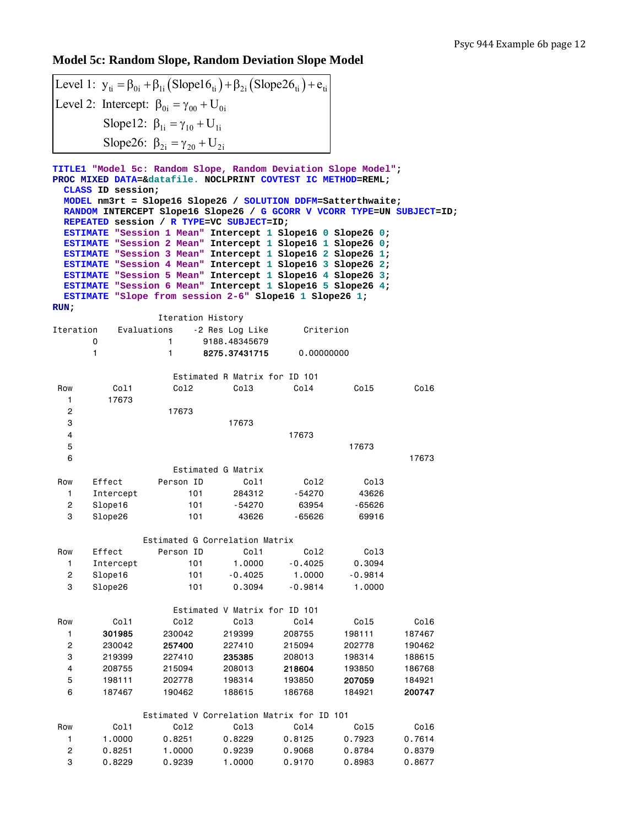# **Model 5c: Random Slope, Random Deviation Slope Model**

|                                |                       | Level 1: $y_{ti} = \beta_{0i} + \beta_{1i} (Slope16_{ti}) + \beta_{2i} (Slope26_{ti}) + e_{ti}$                                                                                                                                                                          |                                |                     |                     |                  |  |
|--------------------------------|-----------------------|--------------------------------------------------------------------------------------------------------------------------------------------------------------------------------------------------------------------------------------------------------------------------|--------------------------------|---------------------|---------------------|------------------|--|
|                                |                       | Level 2: Intercept: $\beta_{0i} = \gamma_{00} + U_{0i}$                                                                                                                                                                                                                  |                                |                     |                     |                  |  |
|                                |                       | Slope12: $\beta_{1i} = \gamma_{10} + U_{1i}$                                                                                                                                                                                                                             |                                |                     |                     |                  |  |
|                                |                       |                                                                                                                                                                                                                                                                          |                                |                     |                     |                  |  |
|                                |                       | Slope26: $\beta_{2i} = \gamma_{20} + U_{2i}$                                                                                                                                                                                                                             |                                |                     |                     |                  |  |
|                                | CLASS ID session;     | TITLE1 "Model 5c: Random Slope, Random Deviation Slope Model";<br>PROC MIXED DATA=&datafile. NOCLPRINT COVTEST IC METHOD=REML;<br>MODEL nm3rt = Slope16 Slope26 / SOLUTION DDFM=Satterthwaite;<br>RANDOM INTERCEPT Slope16 Slope26 / G GCORR V VCORR TYPE=UN SUBJECT=ID; |                                |                     |                     |                  |  |
|                                |                       | REPEATED session / R TYPE=VC SUBJECT=ID;                                                                                                                                                                                                                                 |                                |                     |                     |                  |  |
|                                |                       | ESTIMATE "Session 1 Mean" Intercept 1 Slope16 0 Slope26 0;                                                                                                                                                                                                               |                                |                     |                     |                  |  |
|                                |                       | ESTIMATE "Session 2 Mean" Intercept 1 Slope16 1 Slope26 0;<br>ESTIMATE "Session 3 Mean" Intercept 1 Slope16 2 Slope26 1;                                                                                                                                                 |                                |                     |                     |                  |  |
|                                |                       | ESTIMATE "Session 4 Mean" Intercept 1 Slope16 3 Slope26 2;                                                                                                                                                                                                               |                                |                     |                     |                  |  |
|                                |                       | ESTIMATE "Session 5 Mean" Intercept 1 Slope16 4 Slope26 3;                                                                                                                                                                                                               |                                |                     |                     |                  |  |
|                                |                       | ESTIMATE "Session 6 Mean" Intercept 1 Slope16 5 Slope26 4;                                                                                                                                                                                                               |                                |                     |                     |                  |  |
| RUN                            |                       | ESTIMATE "Slope from session 2-6" Slope16 1 Slope26 1;                                                                                                                                                                                                                   |                                |                     |                     |                  |  |
|                                |                       | Iteration History                                                                                                                                                                                                                                                        |                                |                     |                     |                  |  |
|                                | Iteration Evaluations |                                                                                                                                                                                                                                                                          | -2 Res Log Like                | Criterion           |                     |                  |  |
|                                | 0<br>1                | 1.<br>1                                                                                                                                                                                                                                                                  | 9188.48345679<br>8275.37431715 | 0.00000000          |                     |                  |  |
|                                |                       |                                                                                                                                                                                                                                                                          |                                |                     |                     |                  |  |
|                                |                       |                                                                                                                                                                                                                                                                          | Estimated R Matrix for ID 101  |                     |                     |                  |  |
| Row                            | Col1                  | Col2                                                                                                                                                                                                                                                                     | Col3                           | Col4                | Col5                | Col6             |  |
| 1.                             | 17673                 |                                                                                                                                                                                                                                                                          |                                |                     |                     |                  |  |
| 2<br>3                         |                       | 17673                                                                                                                                                                                                                                                                    | 17673                          |                     |                     |                  |  |
| 4                              |                       |                                                                                                                                                                                                                                                                          |                                | 17673               |                     |                  |  |
| 5                              |                       |                                                                                                                                                                                                                                                                          |                                |                     | 17673               |                  |  |
| 6                              |                       |                                                                                                                                                                                                                                                                          |                                |                     |                     | 17673            |  |
|                                |                       |                                                                                                                                                                                                                                                                          | Estimated G Matrix             |                     |                     |                  |  |
| Row                            | Effect                | Person ID                                                                                                                                                                                                                                                                | Co <sub>11</sub>               | Col2                | Col3                |                  |  |
| 1.<br>$\overline{c}$           | Intercept<br>Slope16  | 101<br>101                                                                                                                                                                                                                                                               | 284312<br>-54270               | -54270<br>63954     | 43626<br>-65626     |                  |  |
| 3                              | Slope26               | 101                                                                                                                                                                                                                                                                      | 43626                          | -65626              | 69916               |                  |  |
|                                |                       |                                                                                                                                                                                                                                                                          |                                |                     |                     |                  |  |
|                                |                       | Estimated G Correlation Matrix                                                                                                                                                                                                                                           |                                |                     |                     |                  |  |
| Row                            | Effect                | Person ID                                                                                                                                                                                                                                                                | Co11                           | Co12                | Co13                |                  |  |
| $\mathbf{1}$<br>$\overline{c}$ | Intercept<br>Slope16  | 101<br>101                                                                                                                                                                                                                                                               | 1.0000<br>$-0.4025$            | $-0.4025$<br>1.0000 | 0.3094<br>$-0.9814$ |                  |  |
| 3                              | Slope26               | 101                                                                                                                                                                                                                                                                      | 0.3094                         | $-0.9814$           | 1.0000              |                  |  |
|                                |                       |                                                                                                                                                                                                                                                                          |                                |                     |                     |                  |  |
|                                |                       |                                                                                                                                                                                                                                                                          | Estimated V Matrix for ID 101  |                     |                     |                  |  |
| Row                            | Col1                  | Co12                                                                                                                                                                                                                                                                     | Co13                           | Co14                | Co15                | Co16             |  |
| $\mathbf{1}$                   | 301985                | 230042                                                                                                                                                                                                                                                                   | 219399<br>227410               | 208755              | 198111              | 187467           |  |
| $\overline{\mathbf{c}}$<br>3   | 230042<br>219399      | 257400<br>227410                                                                                                                                                                                                                                                         | 235385                         | 215094<br>208013    | 202778<br>198314    | 190462<br>188615 |  |
| 4                              | 208755                | 215094                                                                                                                                                                                                                                                                   | 208013                         | 218604              | 193850              | 186768           |  |
| 5                              | 198111                | 202778                                                                                                                                                                                                                                                                   | 198314                         | 193850              | 207059              | 184921           |  |
| 6                              | 187467                | 190462                                                                                                                                                                                                                                                                   | 188615                         | 186768              | 184921              | 200747           |  |
|                                |                       | Estimated V Correlation Matrix for ID 101                                                                                                                                                                                                                                |                                |                     |                     |                  |  |
| Row                            | Col1                  | Co12                                                                                                                                                                                                                                                                     | Co13                           | Co14                | Co15                | Co16             |  |
| 1                              | 1.0000                | 0.8251                                                                                                                                                                                                                                                                   | 0.8229                         | 0.8125              | 0.7923              | 0.7614           |  |
| $\overline{\mathbf{c}}$        | 0.8251                | 1.0000                                                                                                                                                                                                                                                                   | 0.9239                         | 0.9068              | 0.8784              | 0.8379           |  |
| 3                              | 0.8229                | 0.9239                                                                                                                                                                                                                                                                   | 1.0000                         | 0.9170              | 0.8983              | 0.8677           |  |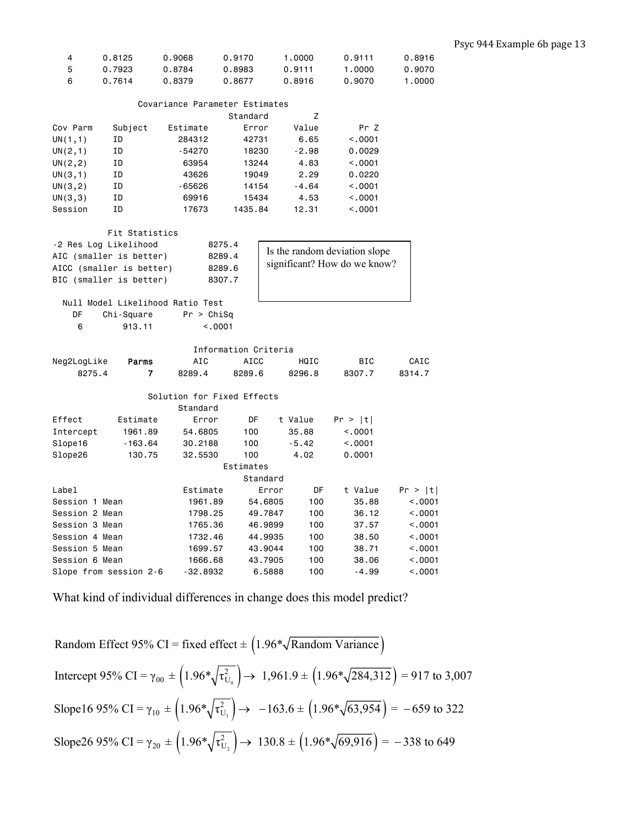| 4 | 0.8125 | 0.9068 | 0.9170 | 1.0000 | 0.9111 | 0.8916 |
|---|--------|--------|--------|--------|--------|--------|
| 5 | 0.7923 | 0.8784 | 0.8983 | 0.9111 | 1.0000 | 0.9070 |
| 6 | 0.7614 | 0.8379 | 0.8677 | 0.8916 | 0.9070 | 1.0000 |

| Covariance Parameter Estimates |  |
|--------------------------------|--|
|                                |  |

|          |         |          | Standard | z       |         |
|----------|---------|----------|----------|---------|---------|
| Cov Parm | Subject | Estimate | Error    | Value   | Pr Z    |
| UN(1,1)  | ΙD      | 284312   | 42731    | 6.65    | < 0.001 |
| UN(2,1)  | ΙD      | $-54270$ | 18230    | $-2.98$ | 0.0029  |
| UN(2, 2) | ΙD      | 63954    | 13244    | 4.83    | < 0.001 |
| UN(3,1)  | ΙD      | 43626    | 19049    | 2.29    | 0.0220  |
| UN(3, 2) | ΙD      | $-65626$ | 14154    | $-4.64$ | < 0.001 |
| UN(3,3)  | ΙD      | 69916    | 15434    | 4.53    | < 0.001 |
| Session  | ΙD      | 17673    | 1435.84  | 12.31   | < 0.001 |

|                         | Fit Statistics                   |                            |             |                               |         |                              |         |
|-------------------------|----------------------------------|----------------------------|-------------|-------------------------------|---------|------------------------------|---------|
| -2 Res Log Likelihood   |                                  | 8275.4                     |             | Is the random deviation slope |         |                              |         |
| AIC (smaller is better) |                                  | 8289.4                     |             |                               |         |                              |         |
|                         | AICC (smaller is better)         | 8289.6                     |             |                               |         | significant? How do we know? |         |
| BIC (smaller is better) |                                  | 8307.7                     |             |                               |         |                              |         |
|                         |                                  |                            |             |                               |         |                              |         |
|                         | Null Model Likelihood Ratio Test |                            |             |                               |         |                              |         |
| DF                      | Chi-Square                       | Pr > Chisq                 |             |                               |         |                              |         |
| 6                       | 913.11                           | < 0.001                    |             |                               |         |                              |         |
|                         |                                  |                            |             |                               |         |                              |         |
|                         |                                  | Information Criteria       |             |                               |         |                              |         |
| Neg2LogLike             | <b>Parms</b>                     | AIC                        | <b>AICC</b> |                               | HQIC    | <b>BIC</b>                   | CAIC    |
| 8275.4                  | 7                                | 8289.4                     | 8289.6      |                               | 8296.8  | 8307.7                       | 8314.7  |
|                         |                                  |                            |             |                               |         |                              |         |
|                         |                                  | Solution for Fixed Effects |             |                               |         |                              |         |
|                         |                                  | Standard                   |             |                               |         |                              |         |
| Effect                  | Estimate                         | Error                      | DF.         |                               | t Value | Pr >  t                      |         |
| Intercept               | 1961.89                          | 54,6805                    | 100         |                               | 35.88   | < 0.001                      |         |
| Slope16                 | $-163.64$                        | 30,2188                    | 100         |                               | $-5.42$ | < 0.001                      |         |
| Slope26                 | 130.75                           | 32,5530                    | 100         |                               | 4.02    | 0.0001                       |         |
|                         |                                  |                            | Estimates   |                               |         |                              |         |
|                         |                                  |                            |             | Standard                      |         |                              |         |
| Label                   |                                  | Estimate                   |             | Error                         | DF      | t Value                      | Pr >  t |
| Session 1 Mean          |                                  | 1961.89                    |             | 54,6805                       | 100     | 35.88                        | < 0.001 |
| Session 2 Mean          |                                  | 1798.25                    |             | 49,7847                       | 100     | 36.12                        | < 0.001 |
| Session 3 Mean          |                                  | 1765.36                    |             | 46.9899                       | 100     | 37.57                        | < .0001 |
| Session 4 Mean          |                                  | 1732.46                    |             | 44.9935                       | 100     | 38,50                        | < .0001 |
| Session 5 Mean          |                                  | 1699.57                    |             | 43,9044                       | 100     | 38.71                        | < 0.001 |
| Session 6 Mean          |                                  | 1666.68                    |             | 43.7905                       | 100     | 38,06                        | < 0.001 |
| Slope from session 2-6  |                                  | $-32.8932$                 |             | 6.5888                        | 100     | $-4.99$                      | < 0.001 |

Random Effect 95% CI = fixed effect 
$$
\pm (1.96 \sqrt[k]{\text{Random Variance}})
$$
  
\nIntercept 95% CI =  $\gamma_{00} \pm (1.96 \sqrt{\tau_{U_0}^2}) \rightarrow 1,961.9 \pm (1.96 \sqrt{284,312}) = 917$  to 3,007  
\nSlope16 95% CI =  $\gamma_{10} \pm (1.96 \sqrt{\tau_{U_1}^2}) \rightarrow -163.6 \pm (1.96 \sqrt{63,954}) = -659$  to 322  
\nSlope26 95% CI =  $\gamma_{20} \pm (1.96 \sqrt{\tau_{U_2}^2}) \rightarrow 130.8 \pm (1.96 \sqrt{69,916}) = -338$  to 649